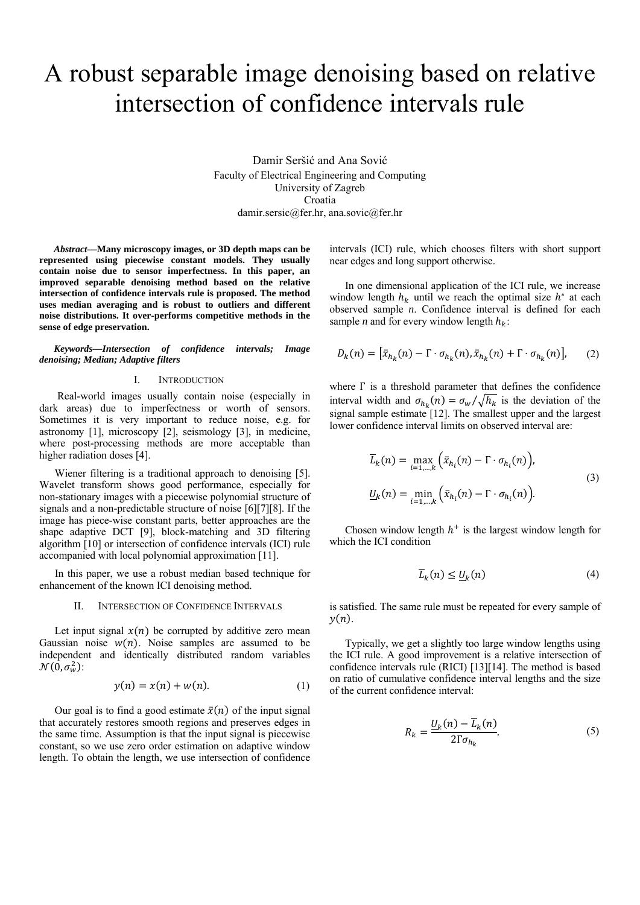# A robust separable image denoising based on relative intersection of confidence intervals rule

Damir Seršić and Ana Sović Faculty of Electrical Engineering and Computing University of Zagreb Croatia damir.sersic@fer.hr, ana.sovic@fer.hr

*Abstract***—Many microscopy images, or 3D depth maps can be represented using piecewise constant models. They usually contain noise due to sensor imperfectness. In this paper, an improved separable denoising method based on the relative intersection of confidence intervals rule is proposed. The method uses median averaging and is robust to outliers and different noise distributions. It over-performs competitive methods in the sense of edge preservation.** 

*Keywords—Intersection of confidence intervals; Image denoising; Median; Adaptive filters* 

## I. INTRODUCTION

 Real-world images usually contain noise (especially in dark areas) due to imperfectness or worth of sensors. Sometimes it is very important to reduce noise, e.g. for astronomy [1], microscopy [2], seismology [3], in medicine, where post-processing methods are more acceptable than higher radiation doses [4].

Wiener filtering is a traditional approach to denoising [5]. Wavelet transform shows good performance, especially for non-stationary images with a piecewise polynomial structure of signals and a non-predictable structure of noise [6][7][8]. If the image has piece-wise constant parts, better approaches are the shape adaptive DCT [9], block-matching and 3D filtering algorithm [10] or intersection of confidence intervals (ICI) rule accompanied with local polynomial approximation [11].

In this paper, we use a robust median based technique for enhancement of the known ICI denoising method.

## II. INTERSECTION OF CONFIDENCE INTERVALS

Let input signal  $x(n)$  be corrupted by additive zero mean Gaussian noise  $w(n)$ . Noise samples are assumed to be independent and identically distributed random variables  $\mathcal{N}(\bar{0}, \sigma_w^2)$ :

$$
y(n) = x(n) + w(n). \tag{1}
$$

Our goal is to find a good estimate  $\bar{x}(n)$  of the input signal that accurately restores smooth regions and preserves edges in the same time. Assumption is that the input signal is piecewise constant, so we use zero order estimation on adaptive window length. To obtain the length, we use intersection of confidence

intervals (ICI) rule, which chooses filters with short support near edges and long support otherwise.

In one dimensional application of the ICI rule, we increase window length  $h_k$  until we reach the optimal size  $h^*$  at each observed sample *n*. Confidence interval is defined for each sample *n* and for every window length  $h_k$ :

$$
D_k(n) = \left[\bar{x}_{h_k}(n) - \Gamma \cdot \sigma_{h_k}(n), \bar{x}_{h_k}(n) + \Gamma \cdot \sigma_{h_k}(n)\right],\tag{2}
$$

where Γ is a threshold parameter that defines the confidence interval width and  $\sigma_{h_k}(n) = \frac{\sigma_w}{\sqrt{h_k}}$  is the deviation of the signal sample estimate [12]. The smallest upper and the largest lower confidence interval limits on observed interval are:

$$
\overline{L}_k(n) = \max_{i=1,\dots,k} \left( \overline{x}_{h_i}(n) - \Gamma \cdot \sigma_{h_i}(n) \right),
$$
\n
$$
\underline{U}_k(n) = \min_{i=1,\dots,k} \left( \overline{x}_{h_i}(n) - \Gamma \cdot \sigma_{h_i}(n) \right).
$$
\n(3)

Chosen window length  $h^+$  is the largest window length for which the ICI condition

$$
\overline{L}_k(n) \le \underline{U}_k(n) \tag{4}
$$

is satisfied. The same rule must be repeated for every sample of  $y(n)$ .

Typically, we get a slightly too large window lengths using the ICI rule. A good improvement is a relative intersection of confidence intervals rule (RICI) [13][14]. The method is based on ratio of cumulative confidence interval lengths and the size of the current confidence interval:

$$
R_k = \frac{U_k(n) - \overline{L}_k(n)}{2\Gamma \sigma_{h_k}}.\tag{5}
$$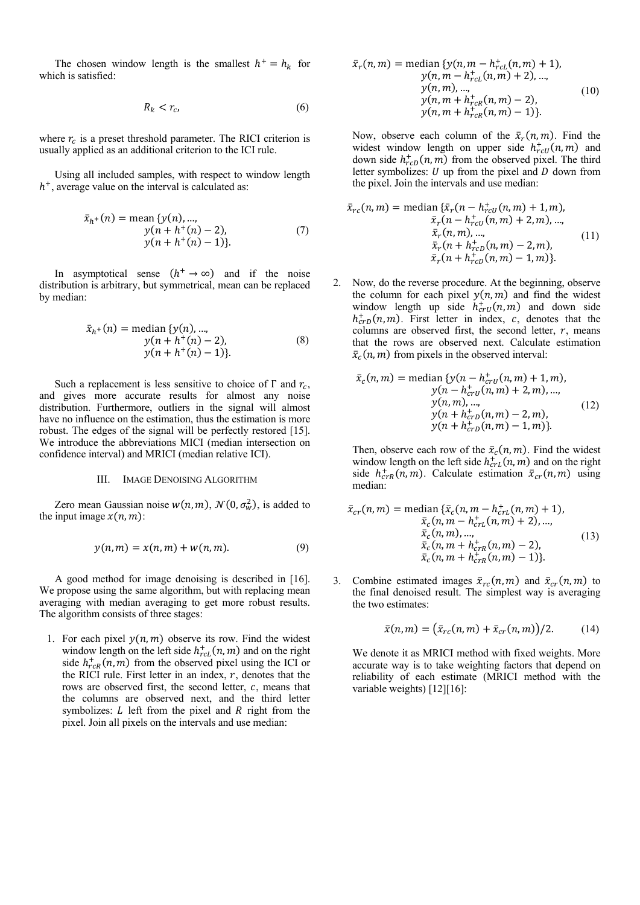The chosen window length is the smallest  $h^+ = h_k$  for which is satisfied:

$$
R_k < r_c \tag{6}
$$

where  $r_c$  is a preset threshold parameter. The RICI criterion is usually applied as an additional criterion to the ICI rule.

Using all included samples, with respect to window length  $h<sup>+</sup>$ , average value on the interval is calculated as:

$$
\bar{x}_{h+}(n) = \text{mean } \{y(n), ..., \ny(n + h^{+}(n) - 2), \ny(n + h^{+}(n) - 1)\}.
$$
\n(7)

In asymptotical sense  $(h^+ \rightarrow \infty)$  and if the noise distribution is arbitrary, but symmetrical, mean can be replaced by median:

$$
\bar{x}_{h+}(n) = \text{median}\{y(n), ..., \ny(n + h^{+}(n) - 2), \ny(n + h^{+}(n) - 1)\}.
$$
\n(8)

Such a replacement is less sensitive to choice of  $\Gamma$  and  $r_c$ , and gives more accurate results for almost any noise distribution. Furthermore, outliers in the signal will almost have no influence on the estimation, thus the estimation is more robust. The edges of the signal will be perfectly restored [15]. We introduce the abbreviations MICI (median intersection on confidence interval) and MRICI (median relative ICI).

## III. IMAGE DENOISING ALGORITHM

Zero mean Gaussian noise  $w(n, m)$ ,  $\mathcal{N}(0, \sigma_w^2)$ , is added to the input image  $x(n, m)$ :

$$
y(n,m) = x(n,m) + w(n,m). \tag{9}
$$

A good method for image denoising is described in [16]. We propose using the same algorithm, but with replacing mean averaging with median averaging to get more robust results. The algorithm consists of three stages:

1. For each pixel  $y(n, m)$  observe its row. Find the widest window length on the left side  $h_{r c}^+(n, m)$  and on the right side  $h_{rcR}^+(n,m)$  from the observed pixel using the ICI or the RICI rule. First letter in an index,  $r$ , denotes that the rows are observed first, the second letter,  $c$ , means that the columns are observed next, and the third letter symbolizes:  $L$  left from the pixel and  $R$  right from the pixel. Join all pixels on the intervals and use median:

$$
\bar{x}_r(n,m) = \text{median}\{y(n,m-h_{rcl}^+(n,m)+1),\ny(n,m-h_{rcl}^+(n,m)+2), ...,\ny(n,m), ...,\ny(n,m+h_{rcl}^+(n,m)-2),\ny(n,m+h_{rcl}^+(n,m)-1)\}.
$$
\n(10)

Now, observe each column of the  $\bar{x}_r(n,m)$ . Find the widest window length on upper side  $h_{rcU}^+(n,m)$  and down side  $h_{rcD}^{+}(n, m)$  from the observed pixel. The third letter symbolizes:  $U$  up from the pixel and  $D$  down from the pixel. Join the intervals and use median:

$$
\bar{x}_{rc}(n,m) = \text{median}\{\bar{x}_r(n - h_{rcU}^+(n,m) + 1, m),\n\bar{x}_r(n - h_{rcU}^+(n,m) + 2, m), ...,\n\bar{x}_r(n,m), ...,\n\bar{x}_r(n + h_{rcD}^+(n,m) - 2, m),\n\bar{x}_r(n + h_{rcD}^+(n,m) - 1, m)\}.
$$
\n(11)

2. Now, do the reverse procedure. At the beginning, observe the column for each pixel  $y(n, m)$  and find the widest window length up side  $h_{crU}^+(n,m)$  and down side  $h_{crD}^{+}(n,m)$ . First letter in index, c, denotes that the columns are observed first, the second letter,  $r$ , means that the rows are observed next. Calculate estimation  $\bar{x}_c(n,m)$  from pixels in the observed interval:

$$
\bar{x}_{c}(n,m) = \text{median}\{y(n - h_{crU}^{+}(n,m) + 1, m),
$$
  
\n
$$
y(n - h_{crU}^{+}(n,m) + 2, m), ...,
$$
  
\n
$$
y(n, m), ...,
$$
  
\n
$$
y(n + h_{crD}^{+}(n,m) - 2, m),
$$
  
\n
$$
y(n + h_{crD}^{+}(n,m) - 1, m)\}.
$$
\n(12)

Then, observe each row of the  $\bar{x}_c(n,m)$ . Find the widest window length on the left side  $h_{crL}^{+}(n,m)$  and on the right side  $h_{crR}^+(n,m)$ . Calculate estimation  $\bar{x}_{cr}(n,m)$  using median:

$$
\bar{x}_{cr}(n,m) = \text{median}\{\bar{x}_c(n,m-h_{crL}^+(n,m)+1),\bar{x}_c(n,m-h_{crL}^+(n,m)+2),...,\bar{x}_c(n,m),...,\bar{x}_c(n,m+h_{crR}^+(n,m)-2),\bar{x}_c(n,m+h_{crR}^+(n,m)-1)\}.
$$
\n(13)

3. Combine estimated images  $\bar{x}_{rc}(n,m)$  and  $\bar{x}_{cr}(n,m)$  to the final denoised result. The simplest way is averaging the two estimates:

$$
\bar{x}(n,m) = (\bar{x}_{rc}(n,m) + \bar{x}_{cr}(n,m))/2.
$$
 (14)

We denote it as MRICI method with fixed weights. More accurate way is to take weighting factors that depend on reliability of each estimate (MRICI method with the variable weights) [12][16]: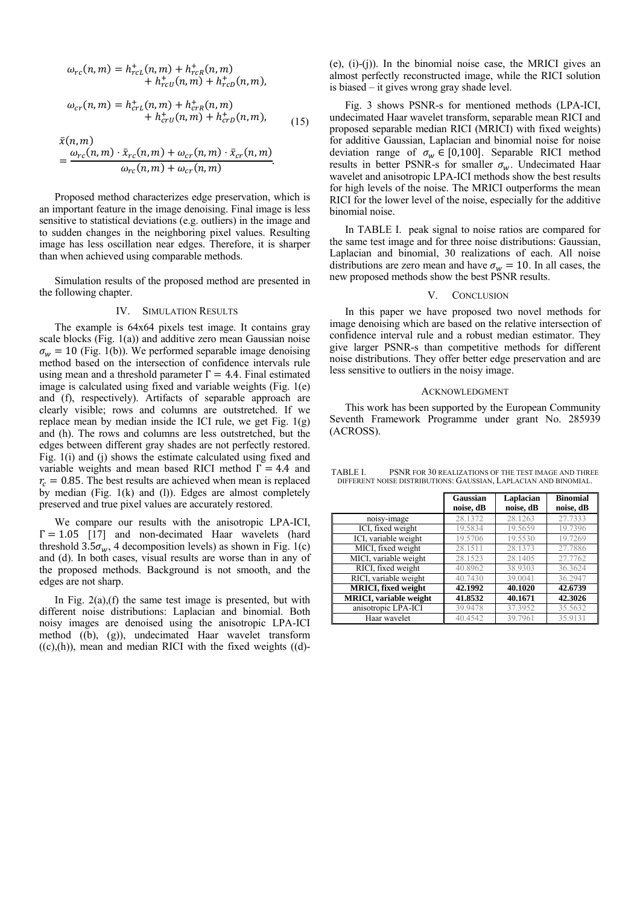$$
\omega_{rc}(n,m) = h_{rc}^{+}(n,m) + h_{rcR}^{+}(n,m) + h_{rcD}^{+}(n,m),
$$
  
+  $h_{rcU}^{+}(n,m) + h_{rcD}^{+}(n,m),$ 

$$
\omega_{cr}(n,m) = h_{crL}^+(n,m) + h_{crR}^+(n,m) + h_{crD}^+(n,m),
$$
  
+  $h_{crD}^+(n,m) + h_{crD}^+(n,m),$  (15)

$$
\bar{x}(n,m) = \frac{\omega_{rc}(n,m) \cdot \bar{x}_{rc}(n,m) + \omega_{cr}(n,m) \cdot \bar{x}_{cr}(n,m)}{\omega_{rc}(n,m) + \omega_{cr}(n,m)}.
$$

Proposed method characterizes edge preservation, which is an important feature in the image denoising. Final image is less sensitive to statistical deviations (e.g. outliers) in the image and to sudden changes in the neighboring pixel values. Resulting image has less oscillation near edges. Therefore, it is sharper than when achieved using comparable methods.

Simulation results of the proposed method are presented in the following chapter.

# IV. SIMULATION RESULTS

The example is 64x64 pixels test image. It contains gray scale blocks (Fig. 1(a)) and additive zero mean Gaussian noise  $\sigma_w = 10$  (Fig. 1(b)). We performed separable image denoising method based on the intersection of confidence intervals rule using mean and a threshold parameter  $\Gamma = 4.4$ . Final estimated image is calculated using fixed and variable weights (Fig. 1(e) and (f), respectively). Artifacts of separable approach are clearly visible; rows and columns are outstretched. If we replace mean by median inside the ICI rule, we get Fig.  $1(g)$ and (h). The rows and columns are less outstretched, but the edges between different gray shades are not perfectly restored. Fig. 1(i) and (j) shows the estimate calculated using fixed and variable weights and mean based RICI method  $\Gamma = 4.4$  and  $r_c = 0.85$ . The best results are achieved when mean is replaced by median (Fig. 1(k) and (l)). Edges are almost completely preserved and true pixel values are accurately restored.

We compare our results with the anisotropic LPA-ICI,  $\Gamma = 1.05$  [17] and non-decimated Haar wavelets (hard threshold  $3.5\sigma_w$ , 4 decomposition levels) as shown in Fig. 1(c) and (d). In both cases, visual results are worse than in any of the proposed methods. Background is not smooth, and the edges are not sharp.

In Fig.  $2(a)$ , (f) the same test image is presented, but with different noise distributions: Laplacian and binomial. Both noisy images are denoised using the anisotropic LPA-ICI method ((b), (g)), undecimated Haar wavelet transform  $((c),(h))$ , mean and median RICI with the fixed weights  $((d)-$ 

(e), (i)-(j)). In the binomial noise case, the MRICI gives an almost perfectly reconstructed image, while the RICI solution is biased – it gives wrong gray shade level.

Fig. 3 shows PSNR-s for mentioned methods (LPA-ICI, undecimated Haar wavelet transform, separable mean RICI and proposed separable median RICI (MRICI) with fixed weights) for additive Gaussian, Laplacian and binomial noise for noise deviation range of  $\sigma_w \in [0,100]$ . Separable RICI method results in better PSNR-s for smaller  $\sigma_w$ . Undecimated Haar wavelet and anisotropic LPA-ICI methods show the best results for high levels of the noise. The MRICI outperforms the mean RICI for the lower level of the noise, especially for the additive binomial noise.

In TABLE I. peak signal to noise ratios are compared for the same test image and for three noise distributions: Gaussian, Laplacian and binomial, 30 realizations of each. All noise distributions are zero mean and have  $\sigma_w = 10$ . In all cases, the new proposed methods show the best PSNR results.

## V. CONCLUSION

In this paper we have proposed two novel methods for image denoising which are based on the relative intersection of confidence interval rule and a robust median estimator. They give larger PSNR-s than competitive methods for different noise distributions. They offer better edge preservation and are less sensitive to outliers in the noisy image.

### ACKNOWLEDGMENT

This work has been supported by the European Community Seventh Framework Programme under grant No. 285939 (ACROSS).

TABLE I. PSNR FOR 30 REALIZATIONS OF THE TEST IMAGE AND THREE DIFFERENT NOISE DISTRIBUTIONS: GAUSSIAN, LAPLACIAN AND BINOMIAL.

|                                | Gaussian<br>noise, dB | Laplacian<br>noise, dB | <b>Binomial</b><br>noise, dB |
|--------------------------------|-----------------------|------------------------|------------------------------|
| noisy-image                    | 28.1372               | 28.1263                | 27.7333                      |
| ICI, fixed weight              | 19.5834               | 19.5659                | 19.7396                      |
| ICI, variable weight           | 19.5706               | 19.5530                | 19.7269                      |
| MICI, fixed weight             | 28.1511               | 28.1373                | 27.7886                      |
| MICI, variable weight          | 28.1523               | 28.1405                | 27,7762                      |
| RICI, fixed weight             | 40.8962               | 38.9303                | 36.3624                      |
| RICI, variable weight          | 40.7430               | 39.0041                | 36.2947                      |
| <b>MRICI</b> , fixed weight    | 42.1992               | 40.1020                | 42.6739                      |
| <b>MRICI</b> , variable weight | 41.8532               | 40.1671                | 42.3026                      |
| anisotropic LPA-ICI            | 39.9478               | 37.3952                | 35.5632                      |
| Haar wavelet                   | 40.4542               | 39.7961                | 35.9131                      |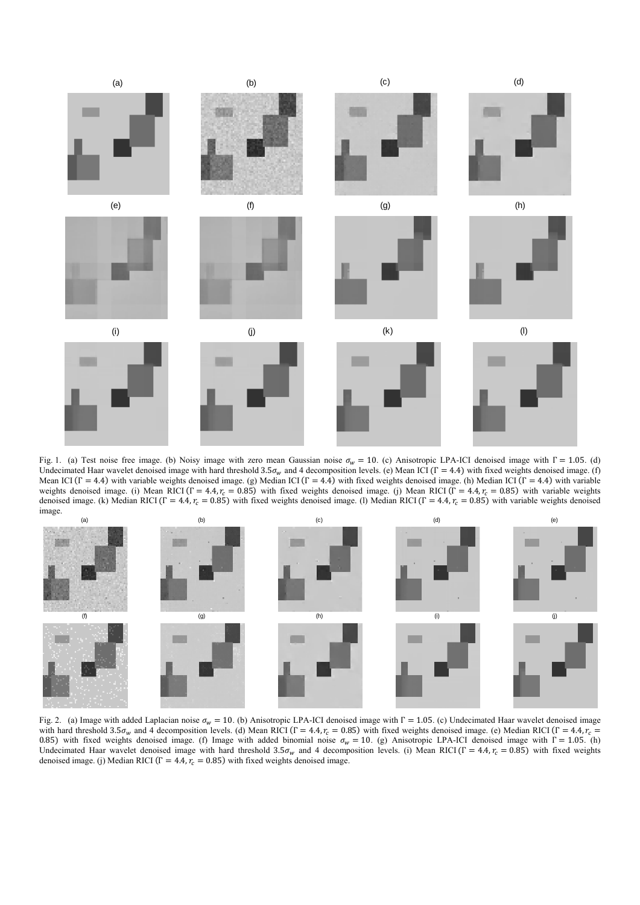

Fig. 1. (a) Test noise free image. (b) Noisy image with zero mean Gaussian noise  $\sigma_w = 10$ . (c) Anisotropic LPA-ICI denoised image with  $\Gamma = 1.05$ . (d) Undecimated Haar wavelet denoised image with hard threshold 3.5 $\sigma_w$  and 4 decomposition levels. (e) Mean ICI ( $\Gamma = 4.4$ ) with fixed weights denoised image. (f) Mean ICI ( $\Gamma = 4.4$ ) with variable weights denoised image. (g) Median ICI ( $\Gamma = 4.4$ ) with fixed weights denoised image. (h) Median ICI ( $\Gamma = 4.4$ ) with variable weights denoised image. (i) Mean RICI ( $\Gamma = 4.4$ ,  $r_c = 0.85$ ) with fixed weights denoised image. (j) Mean RICI ( $\Gamma = 4.4$ ,  $r_c = 0.85$ ) with variable weights denoised image. (k) Median RICI ( $\Gamma = 4.4$ ,  $r_c = 0.85$ ) with fixed weights denoised image. (l) Median RICI ( $\Gamma = 4.4$ ,  $r_c = 0.85$ ) with variable weights denoised image.



Fig. 2. (a) Image with added Laplacian noise  $\sigma_w = 10$ . (b) Anisotropic LPA-ICI denoised image with Γ = 1.05. (c) Undecimated Haar wavelet denoised image with hard threshold 3.5 $\sigma_w$  and 4 decomposition levels. (d) Mean RICI (Γ = 4.4,  $r_c$  = 0.85) with fixed weights denoised image. (e) Median RICI (Γ = 4.4,  $r_c$  = 0.85) with fixed weights denoised image. (f) Image with added binomial noise  $\sigma_w = 10$ . (g) Anisotropic LPA-ICI denoised image with  $\Gamma = 1.05$ . (h) Undecimated Haar wavelet denoised image with hard threshold  $3.5\sigma_w$  and 4 decomposition levels. (i) Mean RICI (Γ = 4.4,  $r_c$  = 0.85) with fixed weights denoised image. (j) Median RICI ( $\Gamma = 4.4$ ,  $r_c = 0.85$ ) with fixed weights denoised image.